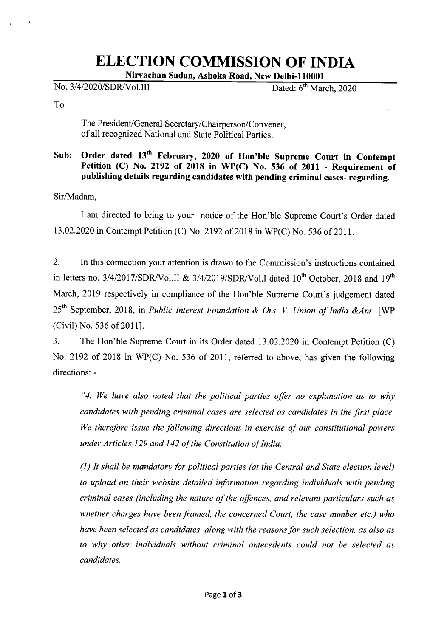# **ELECTION COMMISSION OF INDIA**

Nirvachan Sadan, Ashoka Road, NewDelhi-110001

No. 3/4/2020/SDR/Vol.III Dated: 6<sup>th</sup> March, 2020

To

The President/General Secretary/Chairperson/Convener, of all recognized National and State Political Parties.

### Sub: Order dated 13<sup>th</sup> February, 2020 of Hon'ble Supreme Court in Contempt Petition (C) No. 2192 of 2018 in WP(C) No. 536 of 2011 - Requirement of publishing details regarding candidates with pending criminal cases-regarding.

Sir/Madam.

I am directed to bring to your notice of the Hon'ble Supreme Court's Order dated 13.02.2020 in Contempt Petition (C) No. 2192 of 2018 in WP(C) No. 536 of 2011.

2. In this connection your attention is drawn to the Commission's instructions contained in letters no. 3/4/2017/SDR/Vol.II & 3/4/2019/SDR/Vol.I dated  $10^{th}$  October, 2018 and  $19^{th}$ March, 2019 respectively in compliance of the Hon'ble Supreme Court's judgement dated 25th September, 2018, in *Public Interest Foundation* & *Drs. V Union of India &Anr.* [WP (Civil) No. 536 of 2011].

3. The Hon'ble Supreme Court in its Order dated 13.02.2020 in Contempt Petition (C) No. 2192 of 2018 in WP(C) No. 536 of 2011, referred to above, has given the following directions: -

*"4. We have also noted that the political parties offer no explanation as to why candidates with pending criminal cases are selected as candidates in the first place. We therefore issue the following directions in exercise of our constitutional powers under Articles* 129 *and* 142 *of the Constitution of India:*

*(1) It shall be mandatoryfor political parties (at the Central and State election level) to upload on their website detailed information regarding individuals with pending criminal cases (including the nature of the offences, and relevant particulars such as whether charges have been framed, the concerned Court, the case number etc.) who have been selected as candidates, along with the reasonsfor such selection, as also as to why other individuals without criminal antecedents could not be selected as candidates.*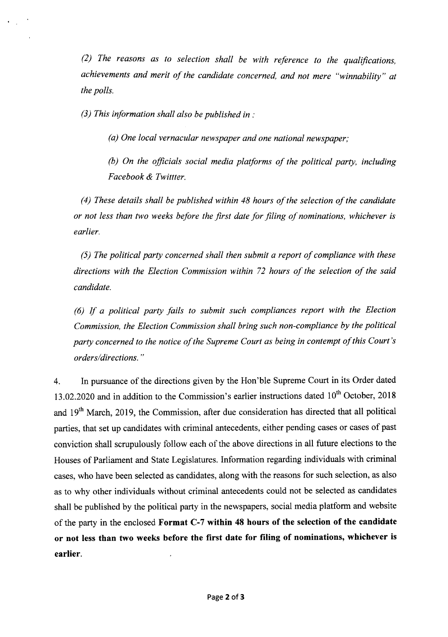*(2) The reasons as to selection shall be with reference to the qualifications, achievements and merit of the candidate concerned, and not mere "winnability" at the polls.*

*(3) This information shall also be published in :*

*(a) One local vernacular newspaper and one national newspaper;*

*(b) On the officials social media platforms of the political party, including Facebook* & *Twittter.*

*(4) These details shall be published within* 48 *hours of the selection of the candidate or not less than two weeks before the first date for filing of nominations, whichever is earlier.*

*(5) The political party concerned shall then submit a report of compliance with these directions with the Election Commission within* 72 *hours of the selection of the said candidate.*

*(6) If a political party fails to submit such compliances report with the Election Commission, the Election Commission shall bring such non-compliance by the political party concerned to the notice of the Supreme Court as being in contempt of this Court's orders/directions. "*

4. In pursuance of the directions given by the Hon'ble Supreme Court in its Order dated 13.02.2020 and in addition to the Commission's earlier instructions dated  $10^{th}$  October, 2018 and 19<sup>th</sup> March, 2019, the Commission, after due consideration has directed that all political parties, that set up candidates with criminal antecedents, either pending cases or cases of past conviction shall scrupulously follow each of the above directions in all future elections to the Houses of Parliament and State Legislatures. Information regarding individuals with criminal cases, who have been selected as candidates, along with the reasons for such selection, as also as to why other individuals without criminal antecedents could not be selected as candidates shall be published by the political party in the newspapers, social media platform and website of the party in the enclosed **Format C-7 within 48 hours of the selection of the candidate or not less than two weeks before the first date for filing of nominations, whichever is earlier.**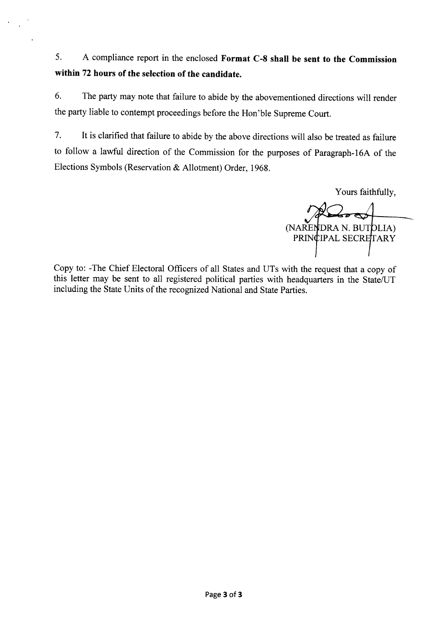5. A compliance report in the enclosed **Format C-8 shall be sent to the Commission within 72 hours of the selection of the candidate.**

6. The party may note that failure to abide by the abovementioned directions will render the party liable to contempt proceedings before the Hon'ble Supreme Court.

7. It is clarified that failure to abide by the above directions will also be treated as failure to follow a lawful direction of the Commission for the purposes of Paragraph-16A of the Elections Symbols (Reservation & Allotment) Order, 1968.

Yours faithfully,

(NARENDRA N. BUTOLIA) PRINCIPAL SECRETARY

Copy to: -The Chief Electoral Officers of all States and UTs with the request that a copy of this letter may be sent to all registered political parties with headquarters in the State/UT including the State Units of the recognized National and State Parties.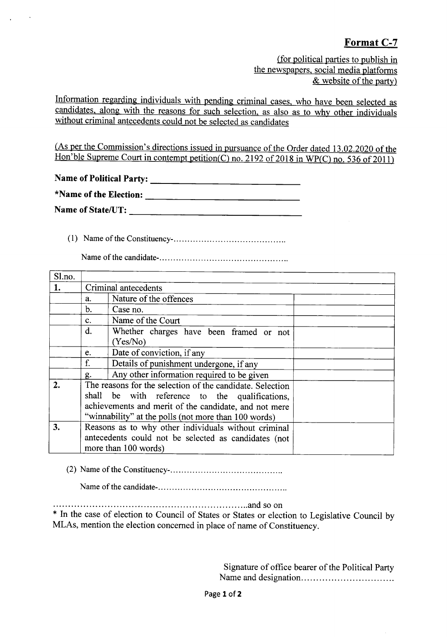## Format C-7

(for political parties to publish in the newspapers, social media platforms & website of the party)

Information regarding individuals with pending criminal cases, who have been selected as candidates, along with the reasons for such selection, as also as to why other individuals without criminal antecedents could not be selected as candidates

(As per the Commission's directions issued in pursuance of the Order dated 13.02.2020 of the Hon'ble Supreme Court in contempt petition(C) no. 2192 of 2018 in WP(C) no. 536 of 2011)

Name of Political Party: \_

| *Name of the Election: |  |  |  |
|------------------------|--|--|--|
| Name of State/UT:      |  |  |  |

(1) NameoftheConstituency- .

Nameof the candidate- .

| Sl.no.       |                                                                                                                                                                                                                              |                                                                                                                                      |  |
|--------------|------------------------------------------------------------------------------------------------------------------------------------------------------------------------------------------------------------------------------|--------------------------------------------------------------------------------------------------------------------------------------|--|
| 1.           |                                                                                                                                                                                                                              | Criminal antecedents                                                                                                                 |  |
|              | a.                                                                                                                                                                                                                           | Nature of the offences                                                                                                               |  |
|              | b.                                                                                                                                                                                                                           | Case no.                                                                                                                             |  |
|              | $\mathbf{c}$ .                                                                                                                                                                                                               | Name of the Court                                                                                                                    |  |
|              | d.                                                                                                                                                                                                                           | Whether charges have been framed or not<br>(Yes/No)                                                                                  |  |
|              | e.                                                                                                                                                                                                                           | Date of conviction, if any                                                                                                           |  |
|              | f.                                                                                                                                                                                                                           | Details of punishment undergone, if any                                                                                              |  |
|              | g.                                                                                                                                                                                                                           | Any other information required to be given                                                                                           |  |
| $\mathbf{2}$ | The reasons for the selection of the candidate. Selection<br>shall be with reference to the qualifications,<br>achievements and merit of the candidate, and not mere<br>"winnability" at the polls (not more than 100 words) |                                                                                                                                      |  |
| 3.           |                                                                                                                                                                                                                              | Reasons as to why other individuals without criminal<br>antecedents could not be selected as candidates (not<br>more than 100 words) |  |

(2) NameoftheConstituency- .

Nameofthe candidate- .

................................................................. and so on

\* In the case of election to Council of States or States or election to Legislative Council by MLAs, mention the election concerned in place of name of Constituency.

> Signature of office bearer of the Political Party Name and designation .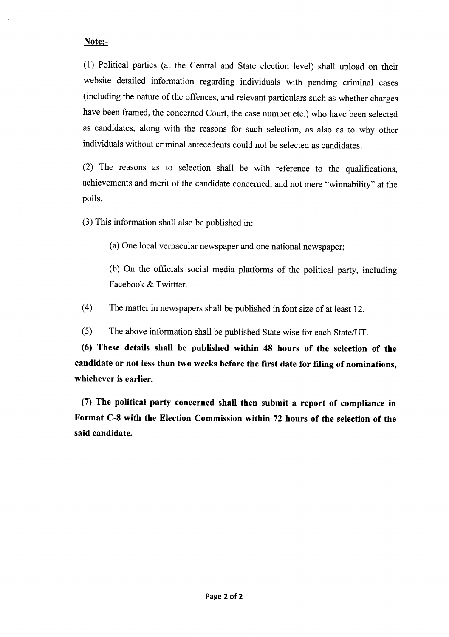#### Note:-

(1) Political parties (at the Central and State election level) shall upload on their website detailed information regarding individuals with pending criminal cases (including the nature of the offences, and relevant particulars such as whether charges have been framed, the concerned Court, the case number etc.) who have been selected as candidates, along with the reasons for such selection, as also as to why other individuals without criminal antecedents could not be selected as candidates.

(2) The reasons as to selection shall be with reference to the qualifications, achievements and merit of the candidate concerned, and not mere "winnability" at the polls.

(3) This information shall also be published in:

(a) One local vernacular newspaper and one national newspaper;

(b) On the officials social media platforms of the political party, including Facebook & Twittter.

(4) The matter in newspapers shall be published in font size of at least 12.

(5) The above information shall be published State wise for each State/U'T,

(6) These details shall be published within 48 hours of the selection of the candidate or not less than two weeks before the first date for filing of nominations, whichever is earlier.

(7) The political party concerned shall then submit a report of compliance in Format C-8 with the Election Commission within 72 hours of the selection of the said candidate.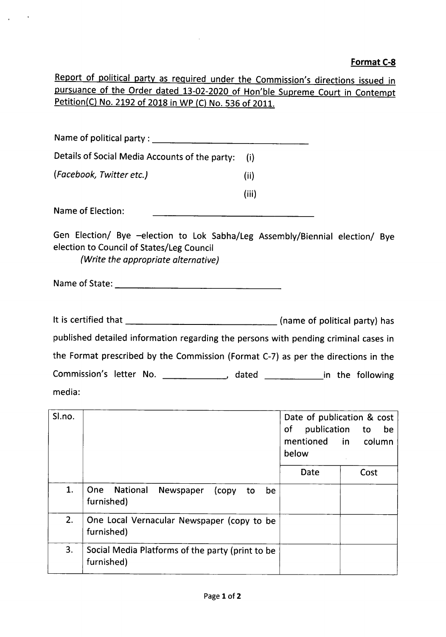#### **Format e-8**

Report of political party as required under the Commission's directions issued in pursuance of the Order dated 13-02-2020 of Hon'ble Supreme Court in Contempt Petition(C) No. 2192 of 2018 in WP (C) No. 536 of 2011.

| Details of Social Media Accounts of the party:<br>(i)                               |
|-------------------------------------------------------------------------------------|
| (i)                                                                                 |
| (iii)                                                                               |
|                                                                                     |
| Gen Election/ Bye -election to Lok Sabha/Leg Assembly/Biennial election/ Bye        |
|                                                                                     |
| published detailed information regarding the persons with pending criminal cases in |
| the Format prescribed by the Commission (Format C-7) as per the directions in the   |
| Commission's letter No. ______________, dated ______________in the following        |
|                                                                                     |
|                                                                                     |

| Sl.no. |                                                                         | Date of publication & cost<br>of<br>publication<br>mentioned in<br>below | to<br>be<br>column |
|--------|-------------------------------------------------------------------------|--------------------------------------------------------------------------|--------------------|
|        |                                                                         | Date                                                                     | Cost               |
| 1.     | National<br><b>One</b><br>Newspaper<br>(copy)<br>be<br>to<br>furnished) |                                                                          |                    |
| 2.     | One Local Vernacular Newspaper (copy to be<br>furnished)                |                                                                          |                    |
| 3.     | Social Media Platforms of the party (print to be<br>furnished)          |                                                                          |                    |